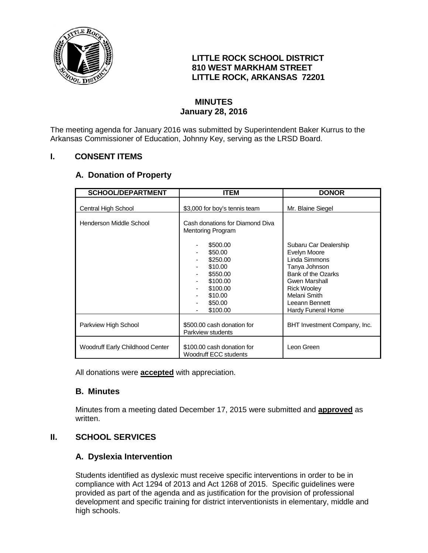

### **LITTLE ROCK SCHOOL DISTRICT 810 WEST MARKHAM STREET LITTLE ROCK, ARKANSAS 72201**

### **MINUTES January 28, 2016**

The meeting agenda for January 2016 was submitted by Superintendent Baker Kurrus to the Arkansas Commissioner of Education, Johnny Key, serving as the LRSD Board.

# **I. CONSENT ITEMS**

### **A. Donation of Property**

| <b>SCHOOL/DEPARTMENT</b>        | <b>ITEM</b>                                                 | <b>DONOR</b>                       |
|---------------------------------|-------------------------------------------------------------|------------------------------------|
| Central High School             | \$3,000 for boy's tennis team                               | Mr. Blaine Siegel                  |
| Henderson Middle School         | Cash donations for Diamond Diva<br><b>Mentoring Program</b> |                                    |
|                                 | \$500.00                                                    | Subaru Car Dealership              |
|                                 | \$50.00                                                     | Evelyn Moore                       |
|                                 | \$250.00                                                    | Linda Simmons                      |
|                                 | \$10.00                                                     | Tanya Johnson                      |
|                                 | \$550.00                                                    | Bank of the Ozarks                 |
|                                 | \$100.00<br>\$100.00                                        | Gwen Marshall                      |
|                                 | \$10.00                                                     | <b>Rick Wooley</b><br>Melani Smith |
|                                 | \$50.00                                                     | Leeann Bennett                     |
|                                 | \$100.00                                                    | Hardy Funeral Home                 |
| Parkview High School            | \$500.00 cash donation for<br>Parkview students             | BHT Investment Company, Inc.       |
| Woodruff Early Childhood Center | \$100.00 cash donation for<br><b>Woodruff ECC students</b>  | Leon Green                         |

All donations were **accepted** with appreciation.

#### **B. Minutes**

Minutes from a meeting dated December 17, 2015 were submitted and **approved** as written.

# **II. SCHOOL SERVICES**

#### **A. Dyslexia Intervention**

Students identified as dyslexic must receive specific interventions in order to be in compliance with Act 1294 of 2013 and Act 1268 of 2015. Specific guidelines were provided as part of the agenda and as justification for the provision of professional development and specific training for district interventionists in elementary, middle and high schools.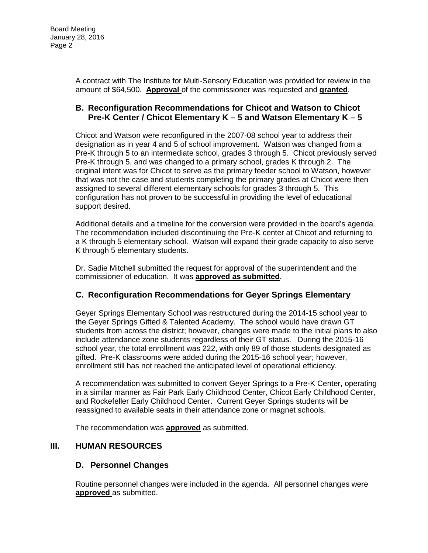A contract with The Institute for Multi-Sensory Education was provided for review in the amount of \$64,500. **Approval** of the commissioner was requested and **granted**.

#### **B. Reconfiguration Recommendations for Chicot and Watson to Chicot Pre-K Center / Chicot Elementary K – 5 and Watson Elementary K – 5**

Chicot and Watson were reconfigured in the 2007-08 school year to address their designation as in year 4 and 5 of school improvement. Watson was changed from a Pre-K through 5 to an intermediate school, grades 3 through 5. Chicot previously served Pre-K through 5, and was changed to a primary school, grades K through 2. The original intent was for Chicot to serve as the primary feeder school to Watson, however that was not the case and students completing the primary grades at Chicot were then assigned to several different elementary schools for grades 3 through 5. This configuration has not proven to be successful in providing the level of educational support desired.

Additional details and a timeline for the conversion were provided in the board's agenda. The recommendation included discontinuing the Pre-K center at Chicot and returning to a K through 5 elementary school. Watson will expand their grade capacity to also serve K through 5 elementary students.

Dr. Sadie Mitchell submitted the request for approval of the superintendent and the commissioner of education. It was **approved as submitted**.

# **C. Reconfiguration Recommendations for Geyer Springs Elementary**

Geyer Springs Elementary School was restructured during the 2014-15 school year to the Geyer Springs Gifted & Talented Academy. The school would have drawn GT students from across the district; however, changes were made to the initial plans to also include attendance zone students regardless of their GT status. During the 2015-16 school year, the total enrollment was 222, with only 89 of those students designated as gifted. Pre-K classrooms were added during the 2015-16 school year; however, enrollment still has not reached the anticipated level of operational efficiency.

A recommendation was submitted to convert Geyer Springs to a Pre-K Center, operating in a similar manner as Fair Park Early Childhood Center, Chicot Early Childhood Center, and Rockefeller Early Childhood Center. Current Geyer Springs students will be reassigned to available seats in their attendance zone or magnet schools.

The recommendation was **approved** as submitted.

#### **III. HUMAN RESOURCES**

#### **D. Personnel Changes**

Routine personnel changes were included in the agenda. All personnel changes were **approved** as submitted.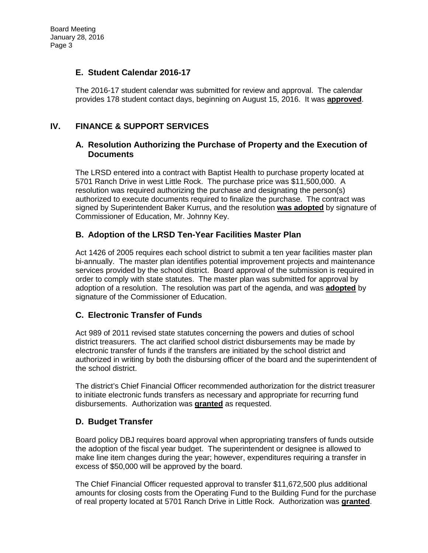#### **E. Student Calendar 2016-17**

The 2016-17 student calendar was submitted for review and approval. The calendar provides 178 student contact days, beginning on August 15, 2016. It was **approved**.

### **IV. FINANCE & SUPPORT SERVICES**

#### **A. Resolution Authorizing the Purchase of Property and the Execution of Documents**

The LRSD entered into a contract with Baptist Health to purchase property located at 5701 Ranch Drive in west Little Rock. The purchase price was \$11,500,000. A resolution was required authorizing the purchase and designating the person(s) authorized to execute documents required to finalize the purchase. The contract was signed by Superintendent Baker Kurrus, and the resolution **was adopted** by signature of Commissioner of Education, Mr. Johnny Key.

#### **B. Adoption of the LRSD Ten-Year Facilities Master Plan**

Act 1426 of 2005 requires each school district to submit a ten year facilities master plan bi-annually. The master plan identifies potential improvement projects and maintenance services provided by the school district. Board approval of the submission is required in order to comply with state statutes. The master plan was submitted for approval by adoption of a resolution. The resolution was part of the agenda, and was **adopted** by signature of the Commissioner of Education.

# **C. Electronic Transfer of Funds**

Act 989 of 2011 revised state statutes concerning the powers and duties of school district treasurers. The act clarified school district disbursements may be made by electronic transfer of funds if the transfers are initiated by the school district and authorized in writing by both the disbursing officer of the board and the superintendent of the school district.

The district's Chief Financial Officer recommended authorization for the district treasurer to initiate electronic funds transfers as necessary and appropriate for recurring fund disbursements. Authorization was **granted** as requested.

#### **D. Budget Transfer**

Board policy DBJ requires board approval when appropriating transfers of funds outside the adoption of the fiscal year budget. The superintendent or designee is allowed to make line item changes during the year; however, expenditures requiring a transfer in excess of \$50,000 will be approved by the board.

The Chief Financial Officer requested approval to transfer \$11,672,500 plus additional amounts for closing costs from the Operating Fund to the Building Fund for the purchase of real property located at 5701 Ranch Drive in Little Rock. Authorization was **granted**.